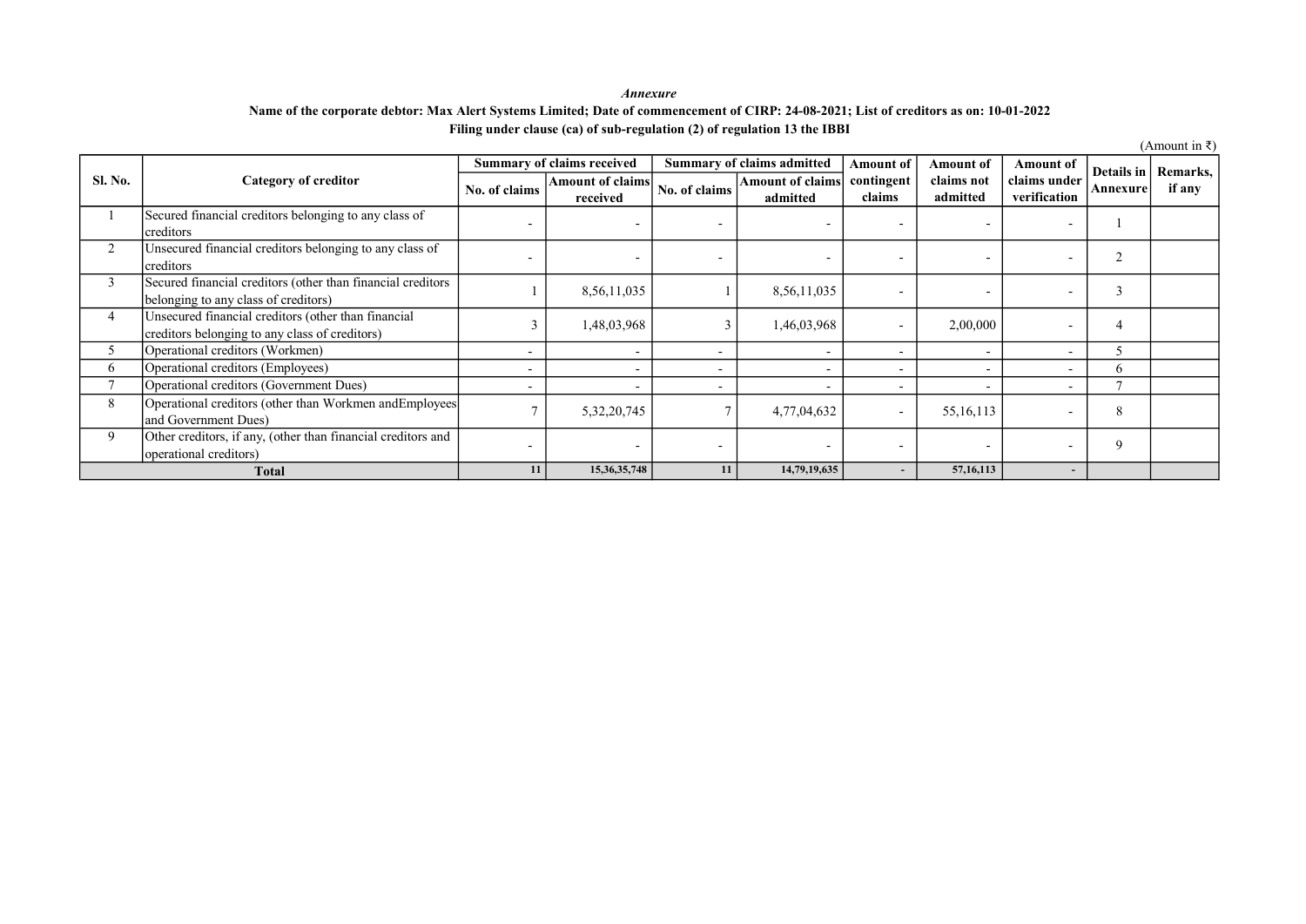#### Annexure Filing under clause (ca) of sub-regulation (2) of regulation 13 the IBBI Name of the corporate debtor: Max Alert Systems Limited; Date of commencement of CIRP: 24-08-2021; List of creditors as on: 10-01-2022

|              |                                                                                                       |               | Summary of claims received   |                          | Summary of claims admitted          | <b>Amount of</b>         | Amount of              | Amount of                    |                | Details in   Remarks, |
|--------------|-------------------------------------------------------------------------------------------------------|---------------|------------------------------|--------------------------|-------------------------------------|--------------------------|------------------------|------------------------------|----------------|-----------------------|
| Sl. No.      | <b>Category of creditor</b>                                                                           | No. of claims | Amount of claims<br>received | No. of claims            | <b>Amount of claims</b><br>admitted | contingent<br>claims     | claims not<br>admitted | claims under<br>verification | Annexure       | if any                |
|              | Secured financial creditors belonging to any class of<br>creditors                                    |               |                              | $\overline{\phantom{0}}$ |                                     |                          |                        |                              |                |                       |
| 2            | Unsecured financial creditors belonging to any class of<br>creditors                                  |               |                              |                          |                                     |                          |                        |                              | $\overline{2}$ |                       |
| 3            | Secured financial creditors (other than financial creditors<br>belonging to any class of creditors)   |               | 8,56,11,035                  |                          | 8,56,11,035                         |                          |                        |                              | 3              |                       |
| 4            | Unsecured financial creditors (other than financial<br>creditors belonging to any class of creditors) |               | 1,48,03,968                  | 3                        | 1,46,03,968                         |                          | 2,00,000               |                              | 4              |                       |
| ͻ            | Operational creditors (Workmen)                                                                       |               |                              | -                        |                                     |                          |                        |                              |                |                       |
| 6            | Operational creditors (Employees)                                                                     |               |                              | $\overline{\phantom{0}}$ |                                     |                          |                        |                              | <sub>b</sub>   |                       |
| $\mathbf{r}$ | Operational creditors (Government Dues)                                                               |               |                              | $\overline{\phantom{a}}$ |                                     | $\overline{\phantom{0}}$ |                        |                              | r.             |                       |
| 8            | Operational creditors (other than Workmen andEmployees<br>and Government Dues)                        |               | 5,32,20,745                  |                          | 4,77,04,632                         |                          | 55, 16, 113            |                              | 8              |                       |
| 9            | Other creditors, if any, (other than financial creditors and<br>operational creditors)                |               | $\overline{\phantom{0}}$     | $\overline{\phantom{0}}$ |                                     |                          |                        |                              | 9              |                       |
|              | <b>Total</b>                                                                                          | 11            | 15, 36, 35, 748              | 11                       | 14,79,19,635                        | $\sim$                   | 57, 16, 113            | $\sim$                       |                |                       |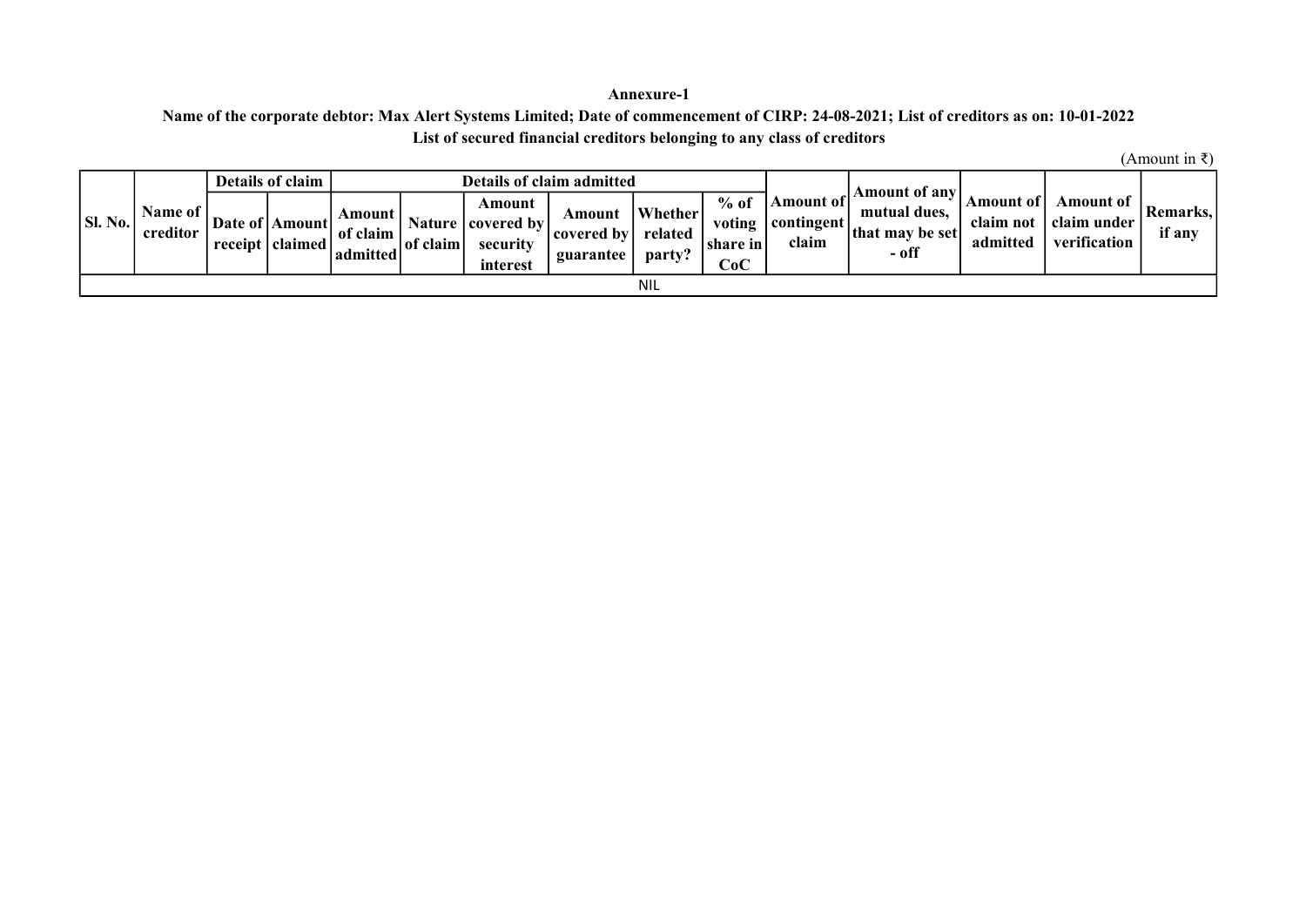### Annexure-1

# Name of the corporate debtor: Max Alert Systems Limited; Date of commencement of CIRP: 24-08-2021; List of creditors as on: 10-01-2022 List of secured financial creditors belonging to any class of creditors

|                |                     | Details of claim                                                 |                                |          |                                                         | <b>Details of claim admitted</b>    |                              |                                                                   |                                    | Amount of any                            |                                    |                                          |                      |
|----------------|---------------------|------------------------------------------------------------------|--------------------------------|----------|---------------------------------------------------------|-------------------------------------|------------------------------|-------------------------------------------------------------------|------------------------------------|------------------------------------------|------------------------------------|------------------------------------------|----------------------|
| <b>SI. No.</b> | Name of<br>creditor | Date of   Amount  <br>$\lvert$ receipt $\lvert$ claimed $\lvert$ | Amount<br>of claim<br>admitted | of claim | Amount<br>Nature   covered by  <br>security<br>interest | Amount<br>  covered by<br>guarantee | Whether<br>related<br>party: | $%$ of<br>voting<br> share in<br>$\mathbb{C}\mathbf{o}\mathbf{C}$ | Amount of<br>  contingent<br>claim | mutual dues.<br>that may be set<br>- off | Amount of<br>claim not<br>admitted | Amount of<br>claim under<br>verification | Remarks.  <br>if any |
|                |                     |                                                                  |                                |          |                                                         |                                     | <b>NIL</b>                   |                                                                   |                                    |                                          |                                    |                                          |                      |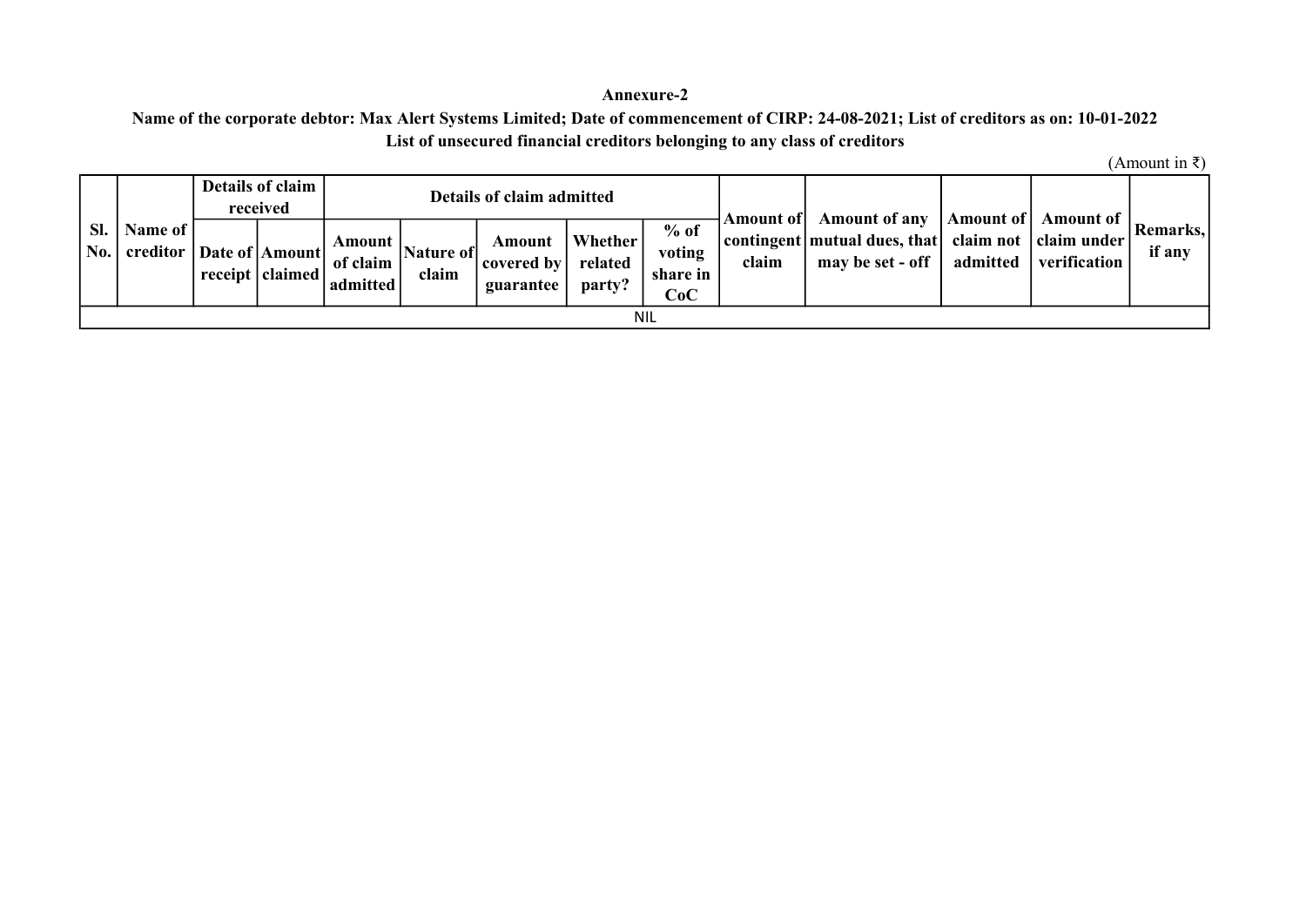## Annexure-2

# List of unsecured financial creditors belonging to any class of creditors Name of the corporate debtor: Max Alert Systems Limited; Date of commencement of CIRP: 24-08-2021; List of creditors as on: 10-01-2022

|     |                                                |  | Details of claim<br>received |                                |                    | Details of claim admitted             |                              |                                     |       | Amount of Amount of any                                                                | Amount of | Amount of             |                      |
|-----|------------------------------------------------|--|------------------------------|--------------------------------|--------------------|---------------------------------------|------------------------------|-------------------------------------|-------|----------------------------------------------------------------------------------------|-----------|-----------------------|----------------------|
| SI. | Name of<br>  No.   creditor   Date of   Amount |  | receipt   claimed            | Amount<br>of claim<br>admitted | Nature of<br>claim | Amount<br>  covered by  <br>guarantee | Whether<br>related<br>party? | $%$ of<br>voting<br>share in<br>CoC | claim | contingent   mutual dues, that   claim not   claim under  <br>may be set - off $\vert$ |           | admitted verification | Remarks,  <br>if any |
|     | <b>NIL</b>                                     |  |                              |                                |                    |                                       |                              |                                     |       |                                                                                        |           |                       |                      |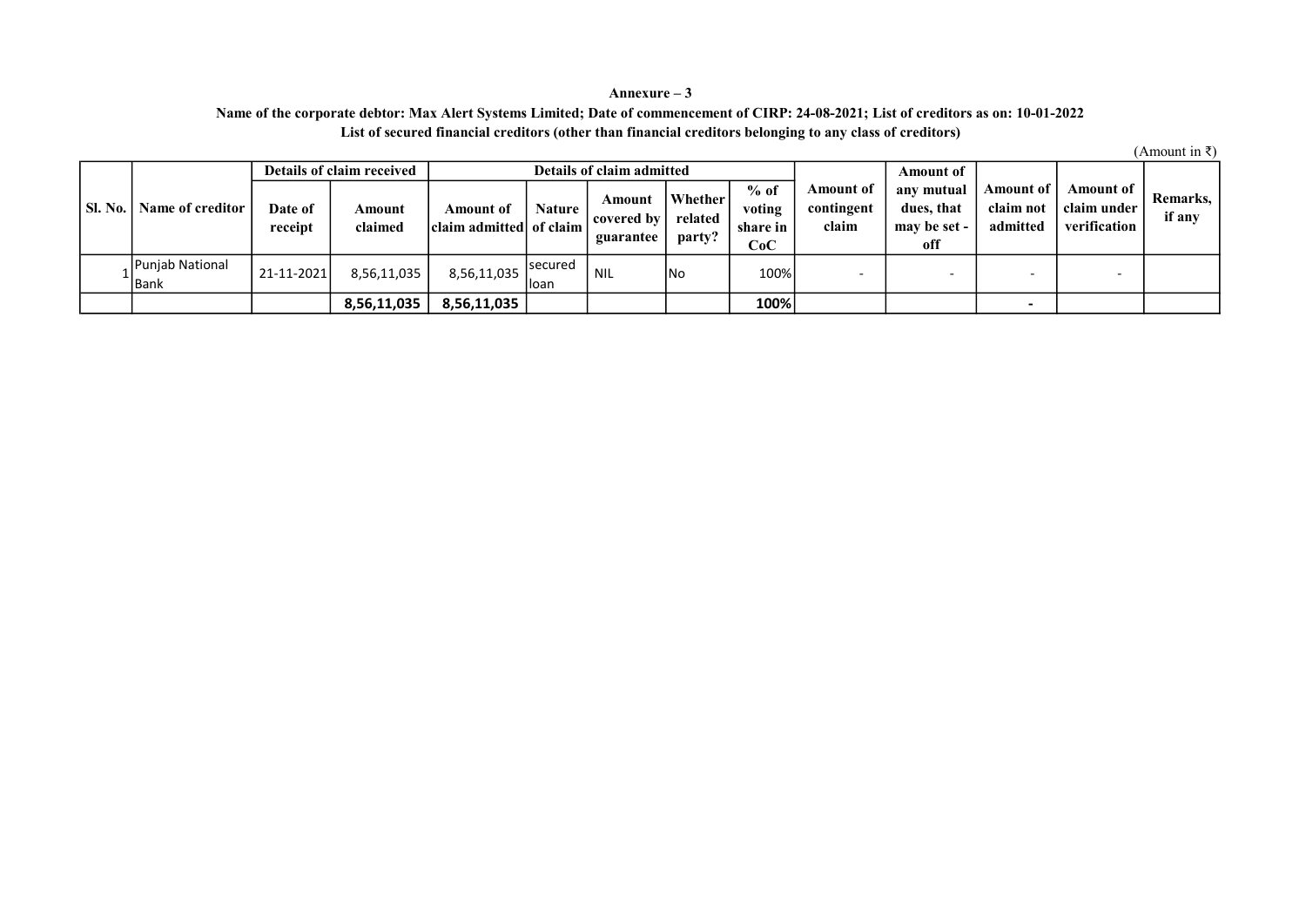### Annexure – 3 Name of the corporate debtor: Max Alert Systems Limited; Date of commencement of CIRP: 24-08-2021; List of creditors as on: 10-01-2022 List of secured financial creditors (other than financial creditors belonging to any class of creditors)

|         |                         | Details of claim received |                   |                                      |                  | Details of claim admitted         |                                     |                                     |                                         | Amount of                                       |                                    |                                          |                    |
|---------|-------------------------|---------------------------|-------------------|--------------------------------------|------------------|-----------------------------------|-------------------------------------|-------------------------------------|-----------------------------------------|-------------------------------------------------|------------------------------------|------------------------------------------|--------------------|
| SI. No. | Name of creditor        | Date of<br>receipt        | Amount<br>claimed | Amount of<br>claim admitted of claim | <b>Nature</b>    | Amount<br>covered by<br>guarantee | <b>Whether</b><br>related<br>party? | $%$ of<br>voting<br>share in<br>CoC | <b>Amount</b> of<br>contingent<br>claim | any mutual<br>dues, that<br>may be set -<br>off | Amount of<br>claim not<br>admitted | Amount of<br>claim under<br>verification | Remarks,<br>if any |
|         | Punjab National<br>Bank | 21-11-2021                | 8,56,11,035       | 8,56,11,035                          | lsecured<br>loan | <b>NIL</b>                        | lNo                                 | 100%                                |                                         |                                                 | $\overline{\phantom{0}}$           |                                          |                    |
|         |                         |                           | 8,56,11,035       | 8,56,11,035                          |                  |                                   |                                     | 100%                                |                                         |                                                 | $\overline{\phantom{0}}$           |                                          |                    |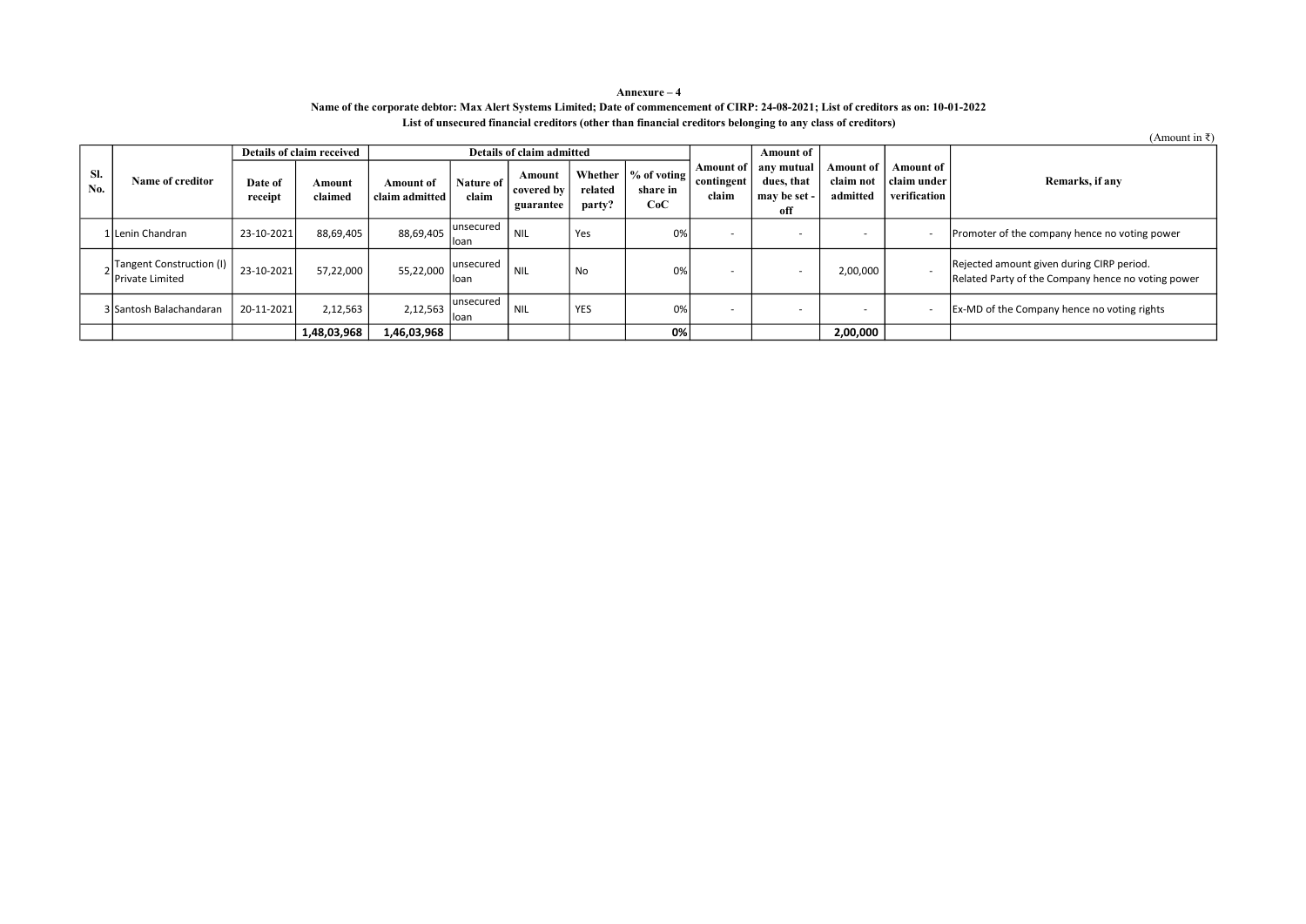#### Annexure – 4 Name of the corporate debtor: Max Alert Systems Limited; Date of commencement of CIRP: 24-08-2021; List of creditors as on: 10-01-2022 List of unsecured financial creditors (other than financial creditors belonging to any class of creditors)

|            |                                                       |                    | Details of claim received |                             |                     | Details of claim admitted         |                   |                                                         |                                  | <b>Amount of</b>                                |                                    |                                            |                                                                                                 |
|------------|-------------------------------------------------------|--------------------|---------------------------|-----------------------------|---------------------|-----------------------------------|-------------------|---------------------------------------------------------|----------------------------------|-------------------------------------------------|------------------------------------|--------------------------------------------|-------------------------------------------------------------------------------------------------|
| SI.<br>No. | <b>Name of creditor</b>                               | Date of<br>receipt | Amount<br>claimed         | Amount of<br>claim admitted | Nature of<br>claim  | Amount<br>covered by<br>guarantee | related<br>party? | Whether $\vert \%$ of voting $\vert$<br>share in<br>CoC | Amount of<br>contingent<br>claim | any mutual<br>dues, that<br>may be set -<br>off | Amount of<br>claim not<br>admitted | Amount of<br>  claim under<br>verification | Remarks, if any                                                                                 |
|            | 1 Lenin Chandran                                      | 23-10-2021         | 88,69,405                 | 88,69,405                   | lunsecured<br>lloan | <b>NIL</b>                        | Yes               | 0%                                                      |                                  |                                                 | . .                                |                                            | Promoter of the company hence no voting power                                                   |
|            | Tangent Construction (I)  <br><b>IPrivate Limited</b> | 23-10-2021         | 57,22,000                 | 55,22,000                   | lunsecured<br>lloan | <b>NIL</b>                        | <b>No</b>         | 0%                                                      |                                  |                                                 | 2,00,000                           |                                            | Rejected amount given during CIRP period.<br>Related Party of the Company hence no voting power |
|            | 3 Santosh Balachandaran                               | 20-11-2021         | 2,12,563                  | 2,12,563                    | lunsecured<br>lloan | <b>NIL</b>                        | <b>YES</b>        | 0%                                                      |                                  |                                                 |                                    |                                            | Ex-MD of the Company hence no voting rights                                                     |
|            |                                                       |                    | 1,48,03,968               | 1,46,03,968                 |                     |                                   |                   | 0%                                                      |                                  |                                                 | 2,00,000                           |                                            |                                                                                                 |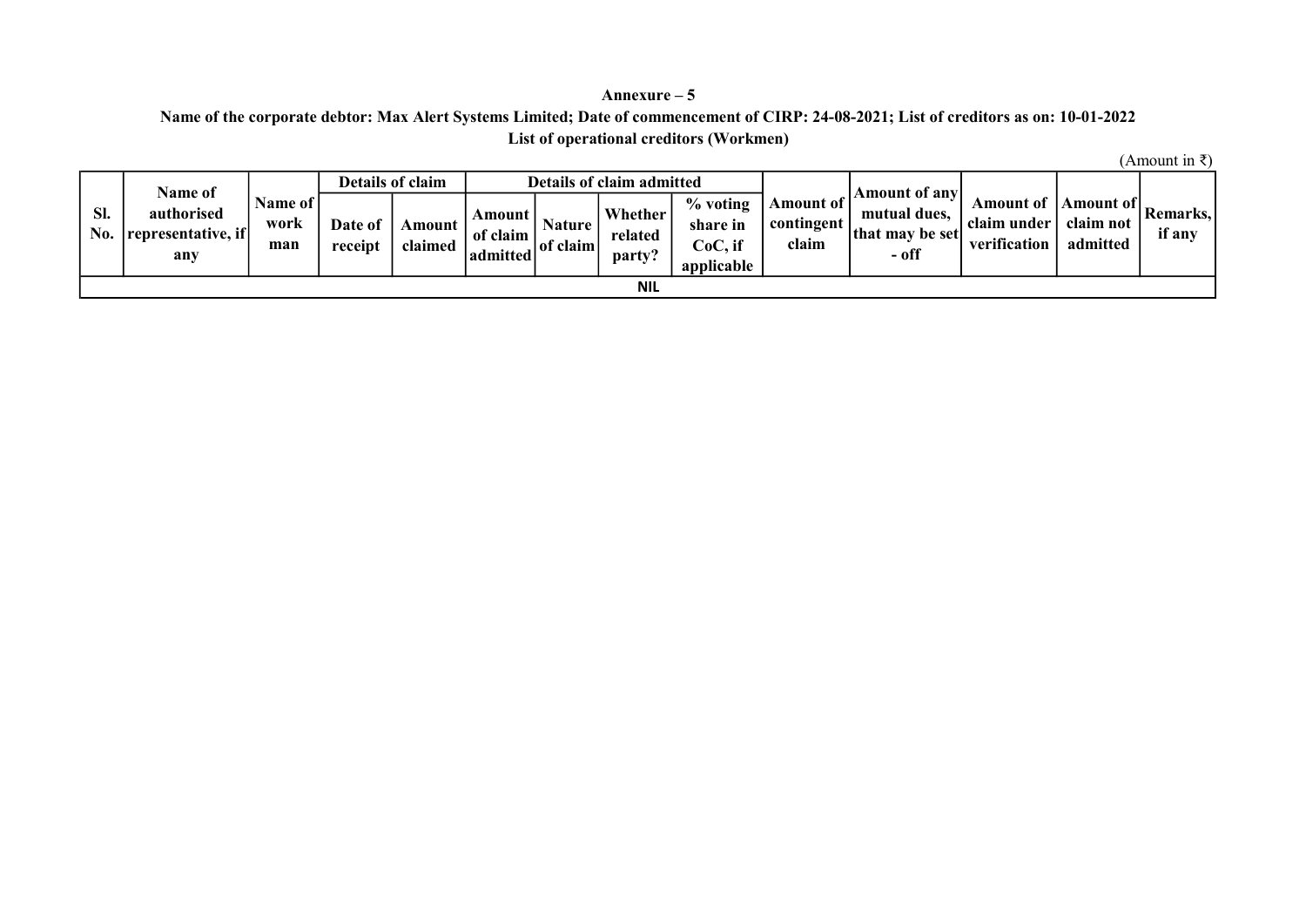## Annexure – 5

# List of operational creditors (Workmen) Name of the corporate debtor: Max Alert Systems Limited; Date of commencement of CIRP: 24-08-2021; List of creditors as on: 10-01-2022

|            | <b>Name of</b>                          |                          |                    | Details of claim  |                                    |                           | <b>Details of claim admitted</b> |                                                  |                                  | <b>Amount of anyl</b>                      |                                          |                                    |                           |
|------------|-----------------------------------------|--------------------------|--------------------|-------------------|------------------------------------|---------------------------|----------------------------------|--------------------------------------------------|----------------------------------|--------------------------------------------|------------------------------------------|------------------------------------|---------------------------|
| SI.<br>No. | authorised<br>representative, if<br>any | Name of  <br>work<br>man | Date of<br>receipt | Amount<br>claimed | Amount  <br>of claim<br>l admitted | <b>Nature</b><br>of claim | Whether<br>related<br>party?     | % voting<br>share in<br>$CoC$ , if<br>applicable | Amount of<br>contingent<br>claim | mutual dues.<br>lthat may be setl<br>- off | Amount of<br>claim under<br>verification | Amount of<br>claim not<br>admitted | <b>Remarks.</b><br>if any |
|            |                                         |                          |                    |                   |                                    |                           | <b>NIL</b>                       |                                                  |                                  |                                            |                                          |                                    |                           |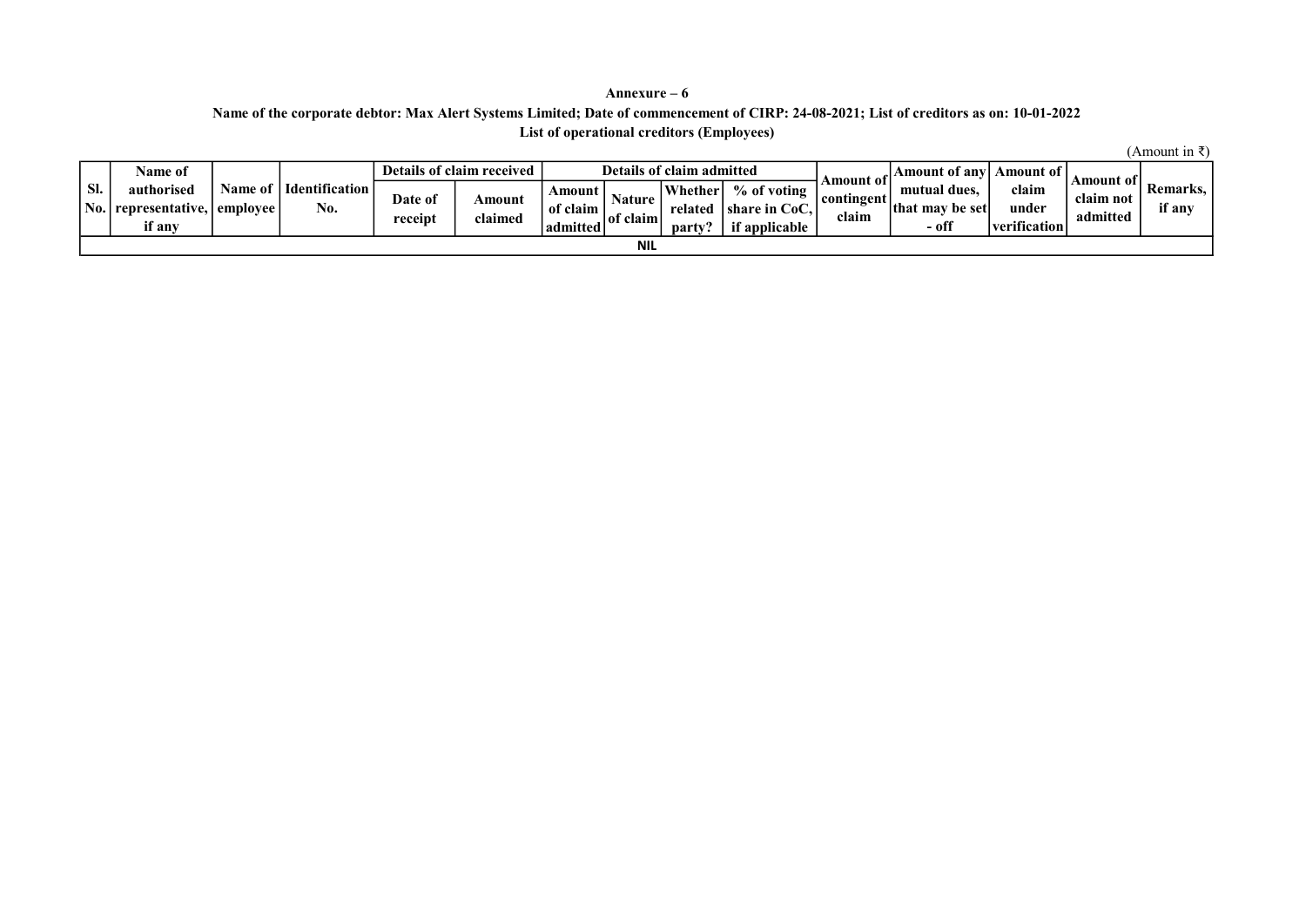### Annexure – 6 List of operational creditors (Employees) Name of the corporate debtor: Max Alert Systems Limited; Date of commencement of CIRP: 24-08-2021; List of creditors as on: 10-01-2022

|         | Name of          |          |                       |         | Details of claim received |          |                    | Details of claim admitted |                              |                  | Amount of anyl       | Amount of                         | Amount of |          |
|---------|------------------|----------|-----------------------|---------|---------------------------|----------|--------------------|---------------------------|------------------------------|------------------|----------------------|-----------------------------------|-----------|----------|
| Sl.     | authorised       | Name of  | <b>Identification</b> | Date of |                           | Amount   |                    | Whether                   | % of voting                  | <b>Amount of</b> | mutual dues.         | claim                             | claim not | Remarks. |
| $'$ No. | l representative | employee | No.                   |         | <b>Amount</b>             | of claim | Nature<br>of claim | related                   | $\blacksquare$ share in CoC, | contingent       | -be set<br>lthat may | under                             | admitted  | if any   |
|         | if anv           |          |                       | receipt | :laimed                   | admitted |                    | party?                    | f applicable                 | elaim            | - off                | $^{\circ}$<br><i>verification</i> |           |          |
|         |                  |          |                       |         |                           |          | <b>NIL</b>         |                           |                              |                  |                      |                                   |           |          |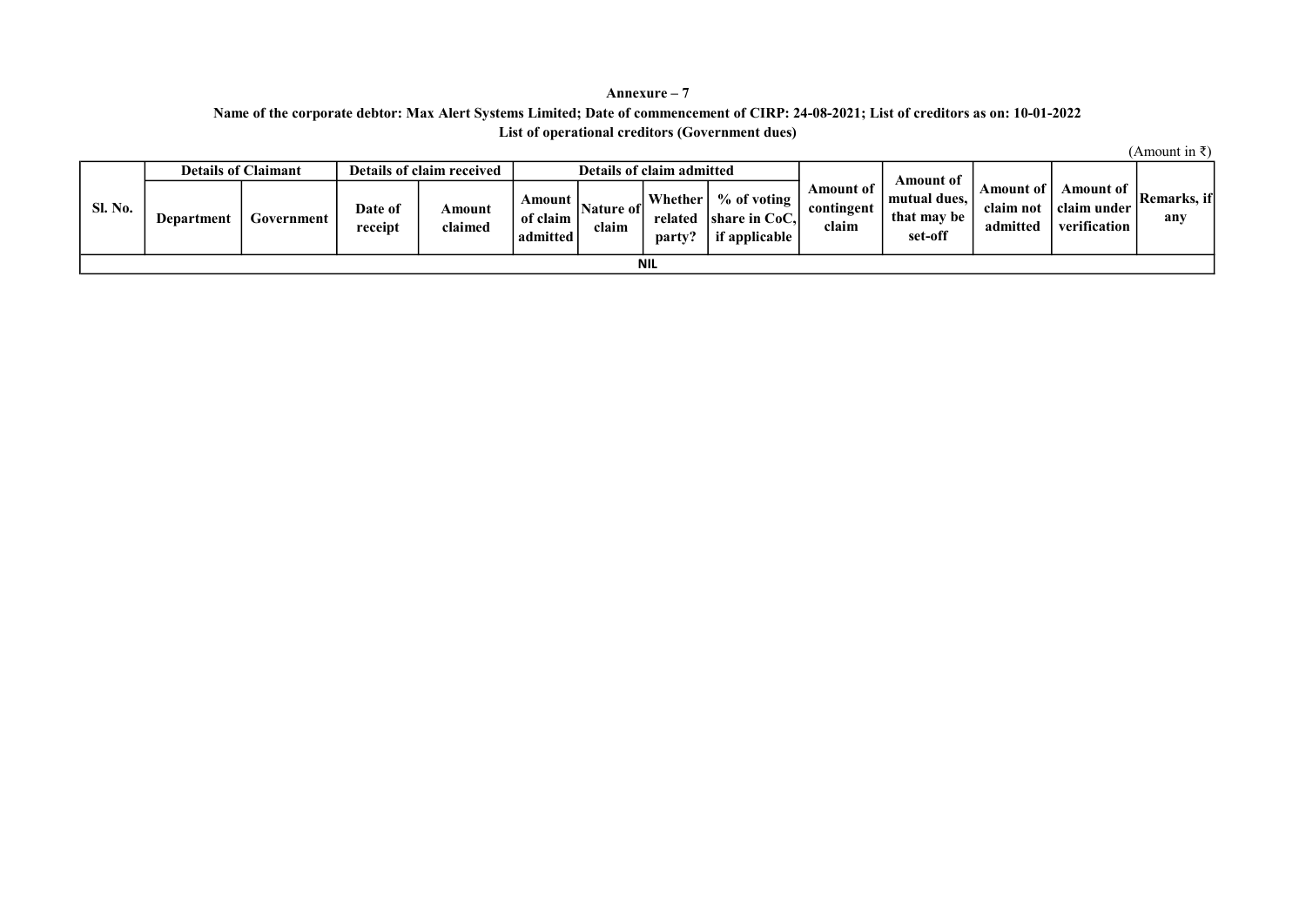### Annexure – 7 List of operational creditors (Government dues) Name of the corporate debtor: Max Alert Systems Limited; Date of commencement of CIRP: 24-08-2021; List of creditors as on: 10-01-2022

|                |            | <b>Details of Claimant</b> |                    | Details of claim received |                                |                      | Details of claim admitted      |                                                          |                                  | Amount of                              |                                    |                                          |                    |
|----------------|------------|----------------------------|--------------------|---------------------------|--------------------------------|----------------------|--------------------------------|----------------------------------------------------------|----------------------------------|----------------------------------------|------------------------------------|------------------------------------------|--------------------|
| <b>Sl. No.</b> | Department | Government                 | Date of<br>receipt | Amount<br>claimed         | Amount<br>of claim<br>admitted | Nature of l<br>claim | Whether  <br>related<br>party? | $%$ of voting<br><b>Ishare in CoC.I</b><br>if applicable | Amount of<br>contingent<br>claim | mutual dues.<br>that may be<br>set-off | Amount of<br>claim not<br>admitted | Amount of<br>claim under<br>verification | Remarks, if<br>any |
|                | <b>NIL</b> |                            |                    |                           |                                |                      |                                |                                                          |                                  |                                        |                                    |                                          |                    |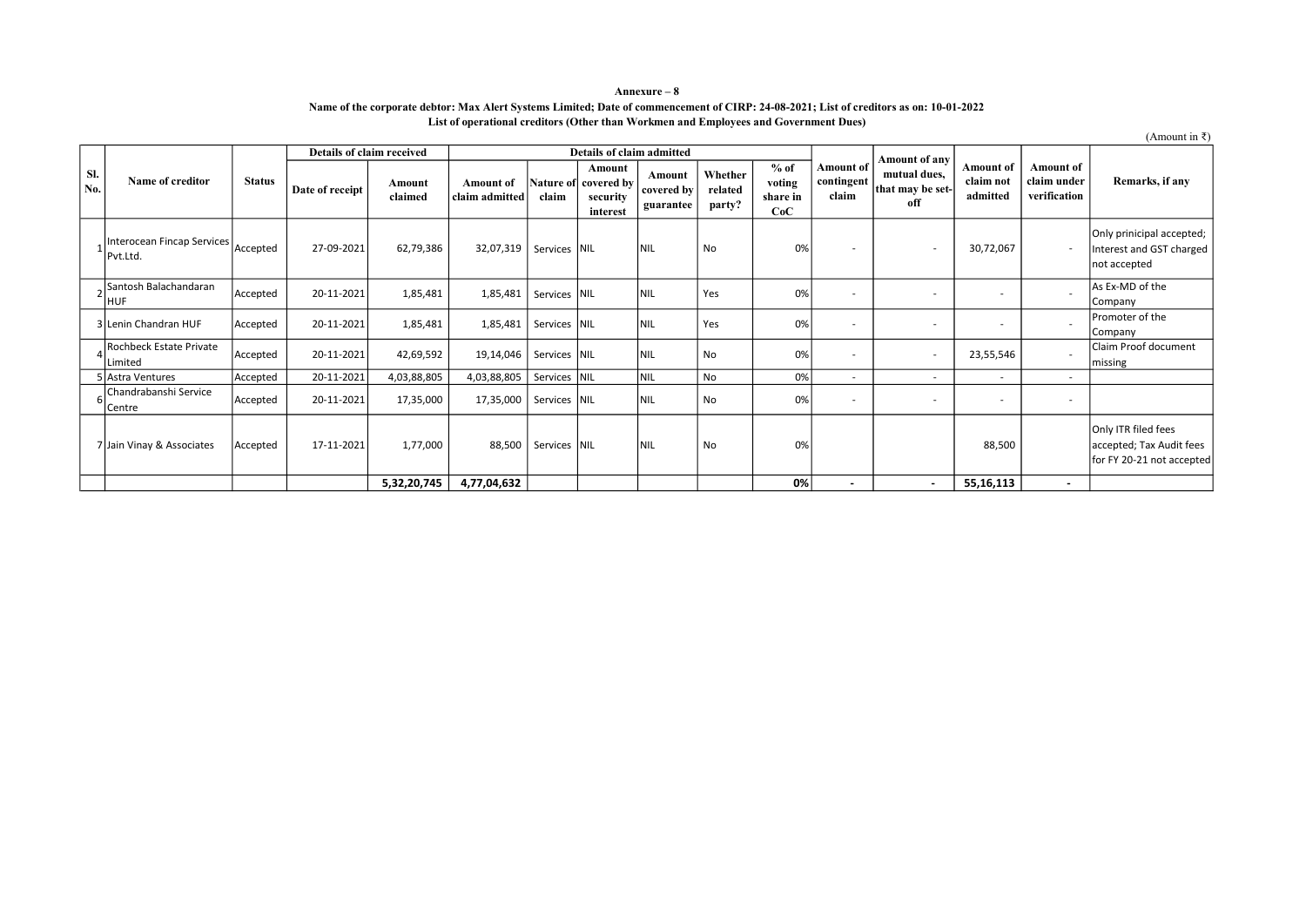#### Name of the corporate debtor: Max Alert Systems Limited; Date of commencement of CIRP: 24-08-2021; List of creditors as on: 10-01-2022 List of operational creditors (Other than Workmen and Employees and Government Dues) Annexure – 8

|            |                                           |               |                           |                   |                                    |              |                                                        |                                   |                              |                                     |                                         |                                         |                                           |                                                 | (Amount in ₹)                                                                |
|------------|-------------------------------------------|---------------|---------------------------|-------------------|------------------------------------|--------------|--------------------------------------------------------|-----------------------------------|------------------------------|-------------------------------------|-----------------------------------------|-----------------------------------------|-------------------------------------------|-------------------------------------------------|------------------------------------------------------------------------------|
|            |                                           |               | Details of claim received |                   |                                    |              | Details of claim admitted                              |                                   |                              |                                     |                                         | Amount of any                           |                                           |                                                 |                                                                              |
| Sl.<br>No. | Name of creditor                          | <b>Status</b> | Date of receipt           | Amount<br>claimed | <b>Amount</b> of<br>claim admitted | claim        | Amount<br>Nature of covered by<br>security<br>interest | Amount<br>covered by<br>guarantee | Whether<br>related<br>party? | $%$ of<br>voting<br>share in<br>CoC | <b>Amount</b> of<br>contingent<br>claim | mutual dues,<br>that may be set-<br>off | <b>Amount of</b><br>claim not<br>admitted | <b>Amount of</b><br>claim under<br>verification | Remarks, if any                                                              |
|            | Interocean Fincap Services<br>Pvt.Ltd.    | Accepted      | 27-09-2021                | 62,79,386         | 32,07,319                          | Services NIL |                                                        | Inil                              | No                           | 0%                                  |                                         | $\overline{\phantom{a}}$                | 30,72,067                                 |                                                 | Only prinicipal accepted;<br>Interest and GST charged<br>not accepted        |
|            | Santosh Balachandaran<br>HUF              | Accepted      | 20-11-2021                | 1,85,481          | 1,85,481                           | Services NIL |                                                        | Inil                              | Yes                          | 0%                                  |                                         | $\overline{\phantom{a}}$                |                                           |                                                 | As Ex-MD of the<br>Company                                                   |
|            | 3 Lenin Chandran HUF                      | Accepted      | 20-11-2021                | 1,85,481          | 1,85,481                           | Services NIL |                                                        | Inil                              | Yes                          | 0%                                  |                                         |                                         |                                           |                                                 | Promoter of the<br>Company                                                   |
|            | <b>Rochbeck Estate Private</b><br>Limited | Accepted      | 20-11-2021                | 42,69,592         | 19,14,046                          | Services NIL |                                                        | Inil                              | <b>No</b>                    | 0%                                  |                                         | $\overline{\phantom{a}}$                | 23,55,546                                 |                                                 | Claim Proof document<br>missing                                              |
|            | 5 Astra Ventures                          | Accepted      | 20-11-2021                | 4,03,88,805       | 4,03,88,805                        | Services NIL |                                                        | NIL                               | No                           | 0%                                  |                                         | $\sim$                                  | $\overline{\phantom{a}}$                  | $\sim$                                          |                                                                              |
|            | Chandrabanshi Service<br>Centre           | Accepted      | 20-11-2021                | 17,35,000         | 17,35,000                          | Services NIL |                                                        | Inil                              | No                           | 0%                                  |                                         |                                         |                                           | $\blacksquare$                                  |                                                                              |
|            | 7 Jain Vinay & Associates                 | Accepted      | 17-11-2021                | 1,77,000          | 88,500                             | Services NIL |                                                        | Inil                              | <b>No</b>                    | 0%                                  |                                         |                                         | 88,500                                    |                                                 | Only ITR filed fees<br>accepted; Tax Audit fees<br>for FY 20-21 not accepted |
|            |                                           |               |                           | 5,32,20,745       | 4,77,04,632                        |              |                                                        |                                   |                              | 0%                                  |                                         | $\sim$                                  | 55,16,113                                 | $\sim$                                          |                                                                              |